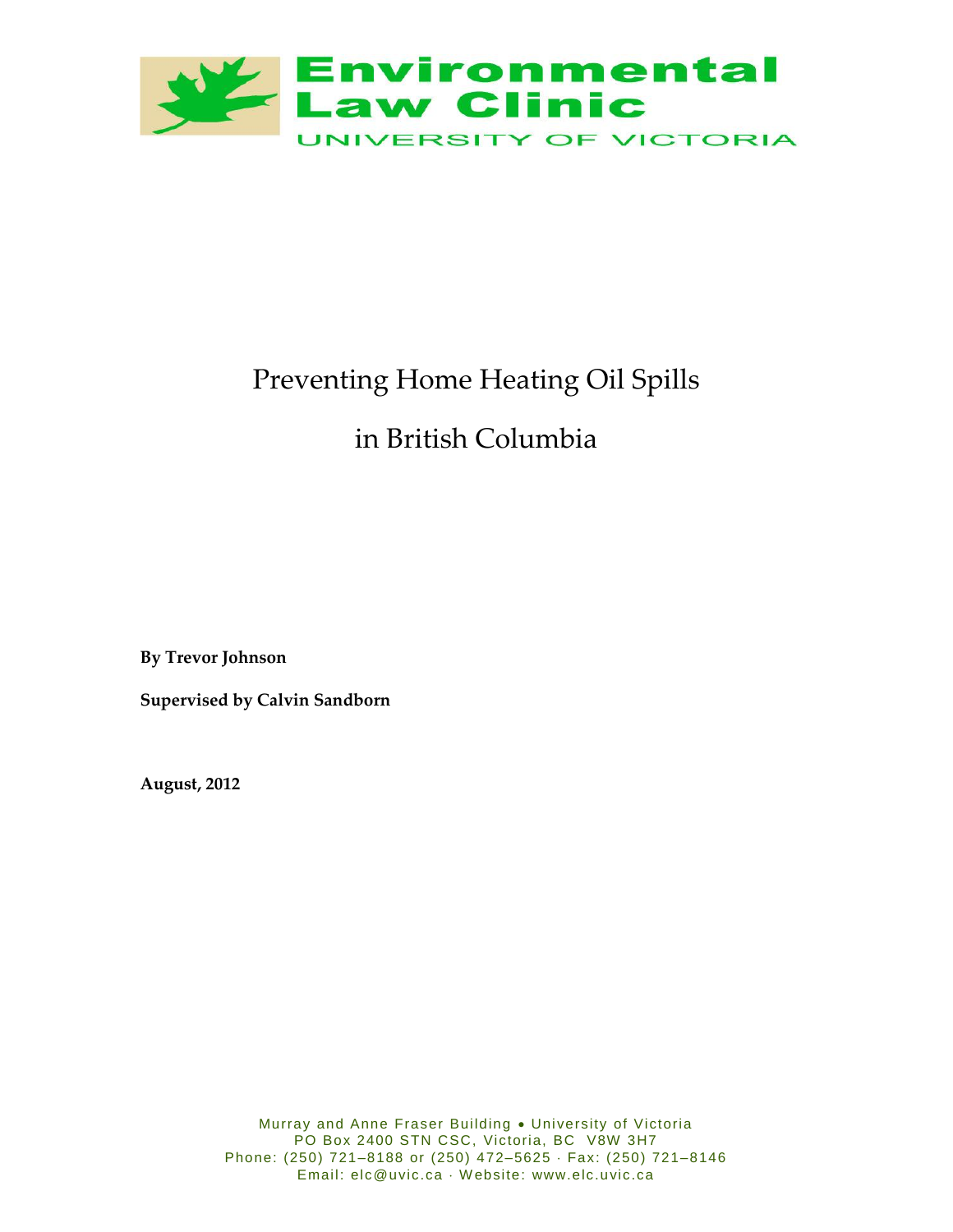

# Preventing Home Heating Oil Spills

# in British Columbia

**By Trevor Johnson**

**Supervised by Calvin Sandborn**

**August, 2012**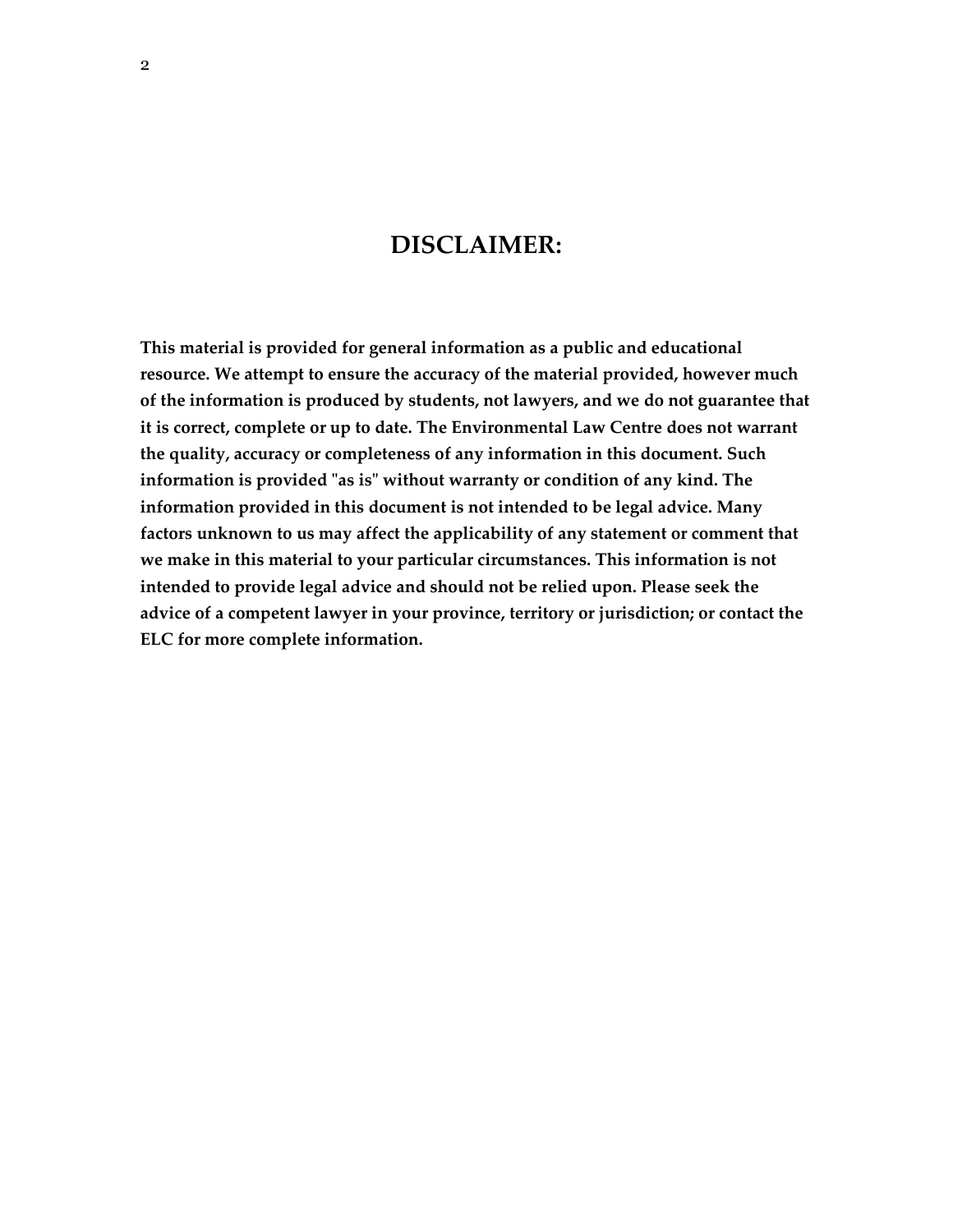# **DISCLAIMER:**

**This material is provided for general information as a public and educational resource. We attempt to ensure the accuracy of the material provided, however much of the information is produced by students, not lawyers, and we do not guarantee that it is correct, complete or up to date. The Environmental Law Centre does not warrant the quality, accuracy or completeness of any information in this document. Such information is provided "as is" without warranty or condition of any kind. The information provided in this document is not intended to be legal advice. Many factors unknown to us may affect the applicability of any statement or comment that we make in this material to your particular circumstances. This information is not intended to provide legal advice and should not be relied upon. Please seek the advice of a competent lawyer in your province, territory or jurisdiction; or contact the ELC for more complete information.**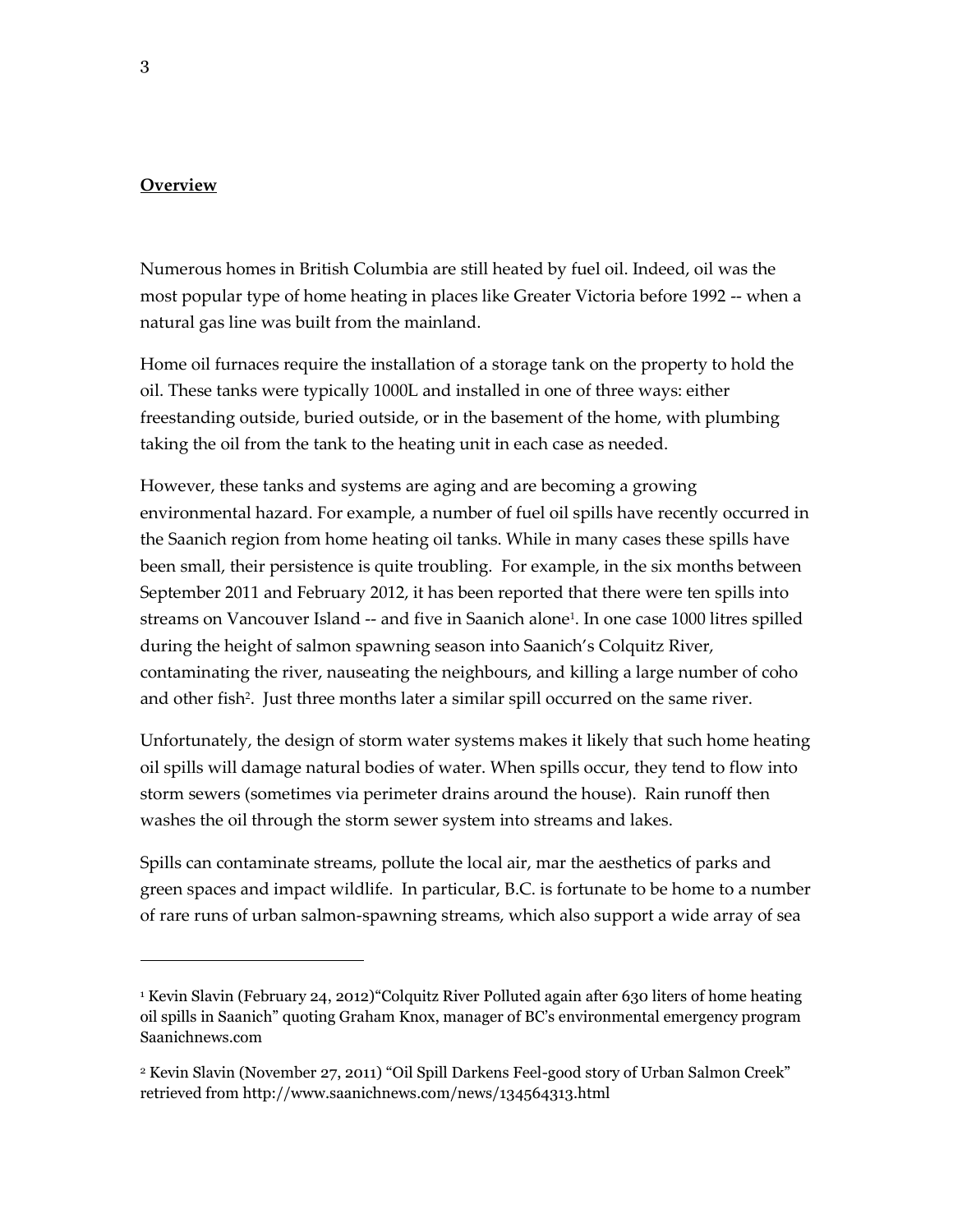#### **Overview**

Numerous homes in British Columbia are still heated by fuel oil. Indeed, oil was the most popular type of home heating in places like Greater Victoria before 1992 -- when a natural gas line was built from the mainland.

Home oil furnaces require the installation of a storage tank on the property to hold the oil. These tanks were typically 1000L and installed in one of three ways: either freestanding outside, buried outside, or in the basement of the home, with plumbing taking the oil from the tank to the heating unit in each case as needed.

However, these tanks and systems are aging and are becoming a growing environmental hazard. For example, a number of fuel oil spills have recently occurred in the Saanich region from home heating oil tanks. While in many cases these spills have been small, their persistence is quite troubling. For example, in the six months between September 2011 and February 2012, it has been reported that there were ten spills into streams on Vancouver Island -- and five in Saanich alone<sup>1</sup> . In one case 1000 litres spilled during the height of salmon spawning season into Saanich's Colquitz River, contaminating the river, nauseating the neighbours, and killing a large number of coho and other fish<sup>2</sup>. Just three months later a similar spill occurred on the same river.

Unfortunately, the design of storm water systems makes it likely that such home heating oil spills will damage natural bodies of water. When spills occur, they tend to flow into storm sewers (sometimes via perimeter drains around the house). Rain runoff then washes the oil through the storm sewer system into streams and lakes.

Spills can contaminate streams, pollute the local air, mar the aesthetics of parks and green spaces and impact wildlife. In particular, B.C. is fortunate to be home to a number of rare runs of urban salmon-spawning streams, which also support a wide array of sea

<sup>1</sup> Kevin Slavin (February 24, 2012)"Colquitz River Polluted again after 630 liters of home heating oil spills in Saanich" quoting Graham Knox, manager of BC's environmental emergency program Saanichnews.com

<sup>2</sup> Kevin Slavin (November 27, 2011) "Oil Spill Darkens Feel-good story of Urban Salmon Creek" retrieved from http://www.saanichnews.com/news/134564313.html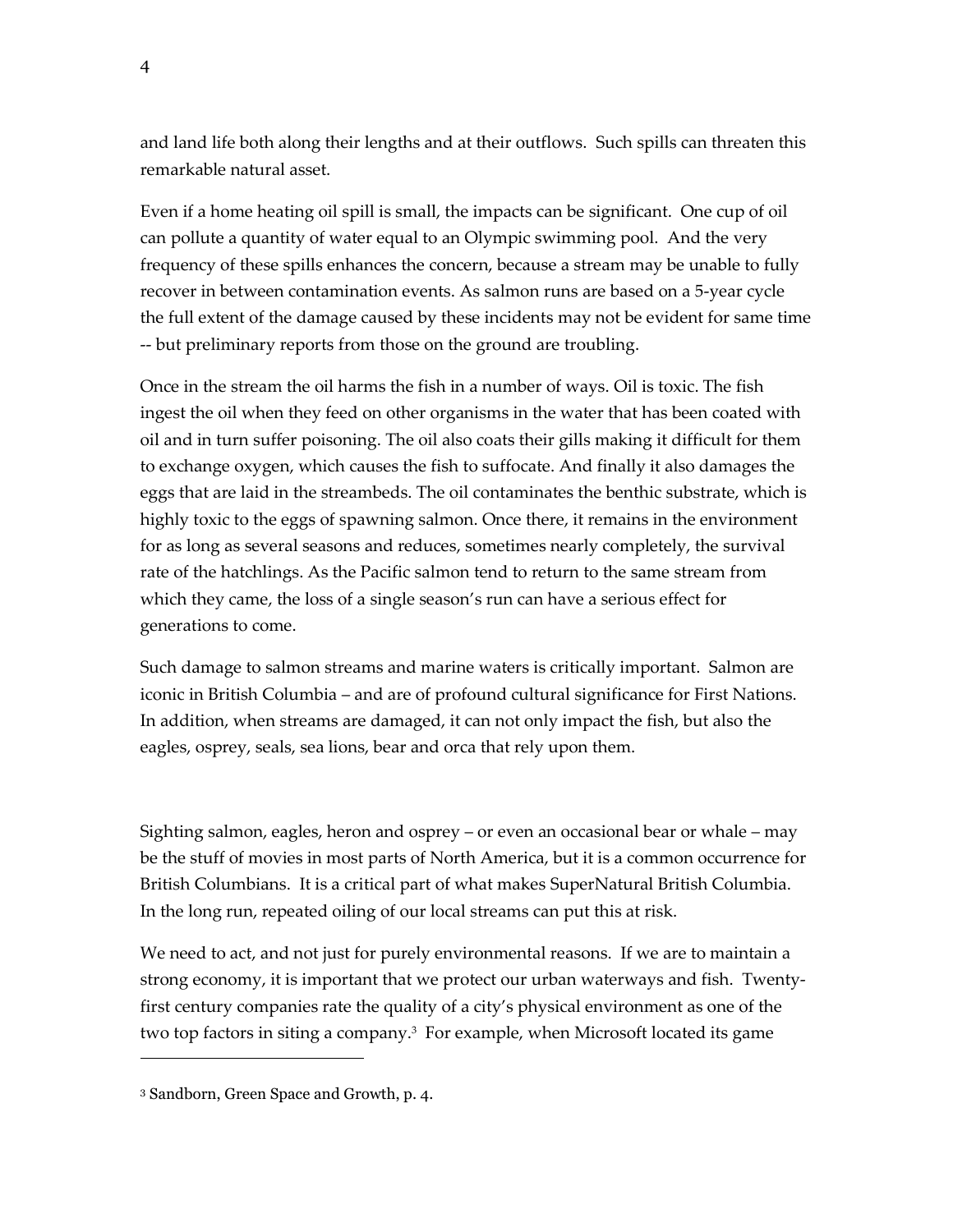and land life both along their lengths and at their outflows. Such spills can threaten this remarkable natural asset.

Even if a home heating oil spill is small, the impacts can be significant. One cup of oil can pollute a quantity of water equal to an Olympic swimming pool. And the very frequency of these spills enhances the concern, because a stream may be unable to fully recover in between contamination events. As salmon runs are based on a 5-year cycle the full extent of the damage caused by these incidents may not be evident for same time -- but preliminary reports from those on the ground are troubling.

Once in the stream the oil harms the fish in a number of ways. Oil is toxic. The fish ingest the oil when they feed on other organisms in the water that has been coated with oil and in turn suffer poisoning. The oil also coats their gills making it difficult for them to exchange oxygen, which causes the fish to suffocate. And finally it also damages the eggs that are laid in the streambeds. The oil contaminates the benthic substrate, which is highly toxic to the eggs of spawning salmon. Once there, it remains in the environment for as long as several seasons and reduces, sometimes nearly completely, the survival rate of the hatchlings. As the Pacific salmon tend to return to the same stream from which they came, the loss of a single season's run can have a serious effect for generations to come.

Such damage to salmon streams and marine waters is critically important. Salmon are iconic in British Columbia – and are of profound cultural significance for First Nations. In addition, when streams are damaged, it can not only impact the fish, but also the eagles, osprey, seals, sea lions, bear and orca that rely upon them.

Sighting salmon, eagles, heron and osprey – or even an occasional bear or whale – may be the stuff of movies in most parts of North America, but it is a common occurrence for British Columbians. It is a critical part of what makes SuperNatural British Columbia. In the long run, repeated oiling of our local streams can put this at risk.

We need to act, and not just for purely environmental reasons. If we are to maintain a strong economy, it is important that we protect our urban waterways and fish. Twentyfirst century companies rate the quality of a city's physical environment as one of the two top factors in siting a company.<sup>3</sup> For example, when Microsoft located its game

<sup>3</sup> Sandborn, Green Space and Growth, p. 4.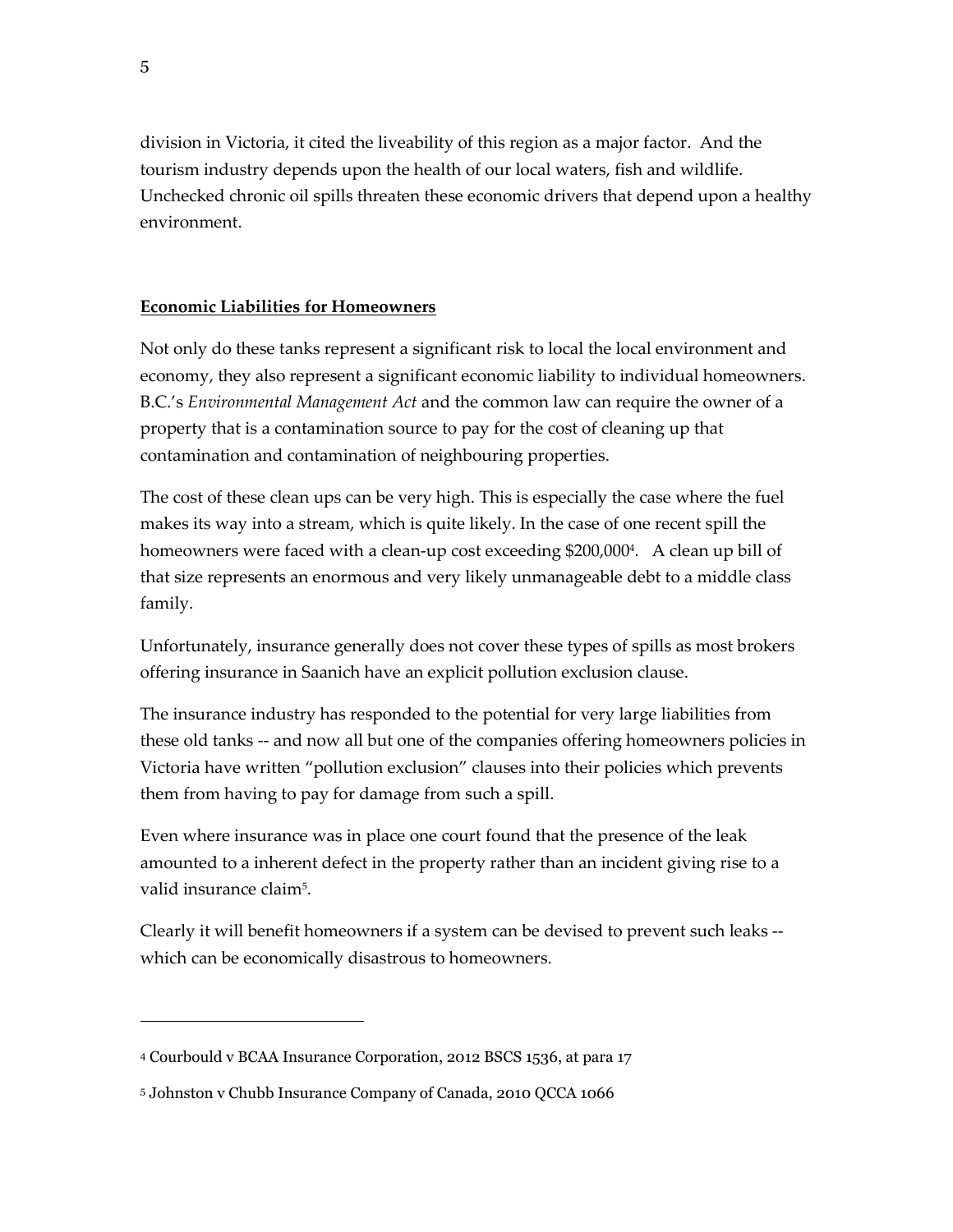division in Victoria, it cited the liveability of this region as a major factor. And the tourism industry depends upon the health of our local waters, fish and wildlife. Unchecked chronic oil spills threaten these economic drivers that depend upon a healthy environment.

#### **Economic Liabilities for Homeowners**

Not only do these tanks represent a significant risk to local the local environment and economy, they also represent a significant economic liability to individual homeowners. B.C.'s *Environmental Management Act* and the common law can require the owner of a property that is a contamination source to pay for the cost of cleaning up that contamination and contamination of neighbouring properties.

The cost of these clean ups can be very high. This is especially the case where the fuel makes its way into a stream, which is quite likely. In the case of one recent spill the homeowners were faced with a clean-up cost exceeding \$200,000<sup>4</sup> . A clean up bill of that size represents an enormous and very likely unmanageable debt to a middle class family.

Unfortunately, insurance generally does not cover these types of spills as most brokers offering insurance in Saanich have an explicit pollution exclusion clause.

The insurance industry has responded to the potential for very large liabilities from these old tanks -- and now all but one of the companies offering homeowners policies in Victoria have written "pollution exclusion" clauses into their policies which prevents them from having to pay for damage from such a spill.

Even where insurance was in place one court found that the presence of the leak amounted to a inherent defect in the property rather than an incident giving rise to a valid insurance claim $^5$ .

Clearly it will benefit homeowners if a system can be devised to prevent such leaks - which can be economically disastrous to homeowners.

<sup>4</sup> Courbould v BCAA Insurance Corporation, 2012 BSCS 1536, at para 17

<sup>5</sup> Johnston v Chubb Insurance Company of Canada, 2010 QCCA 1066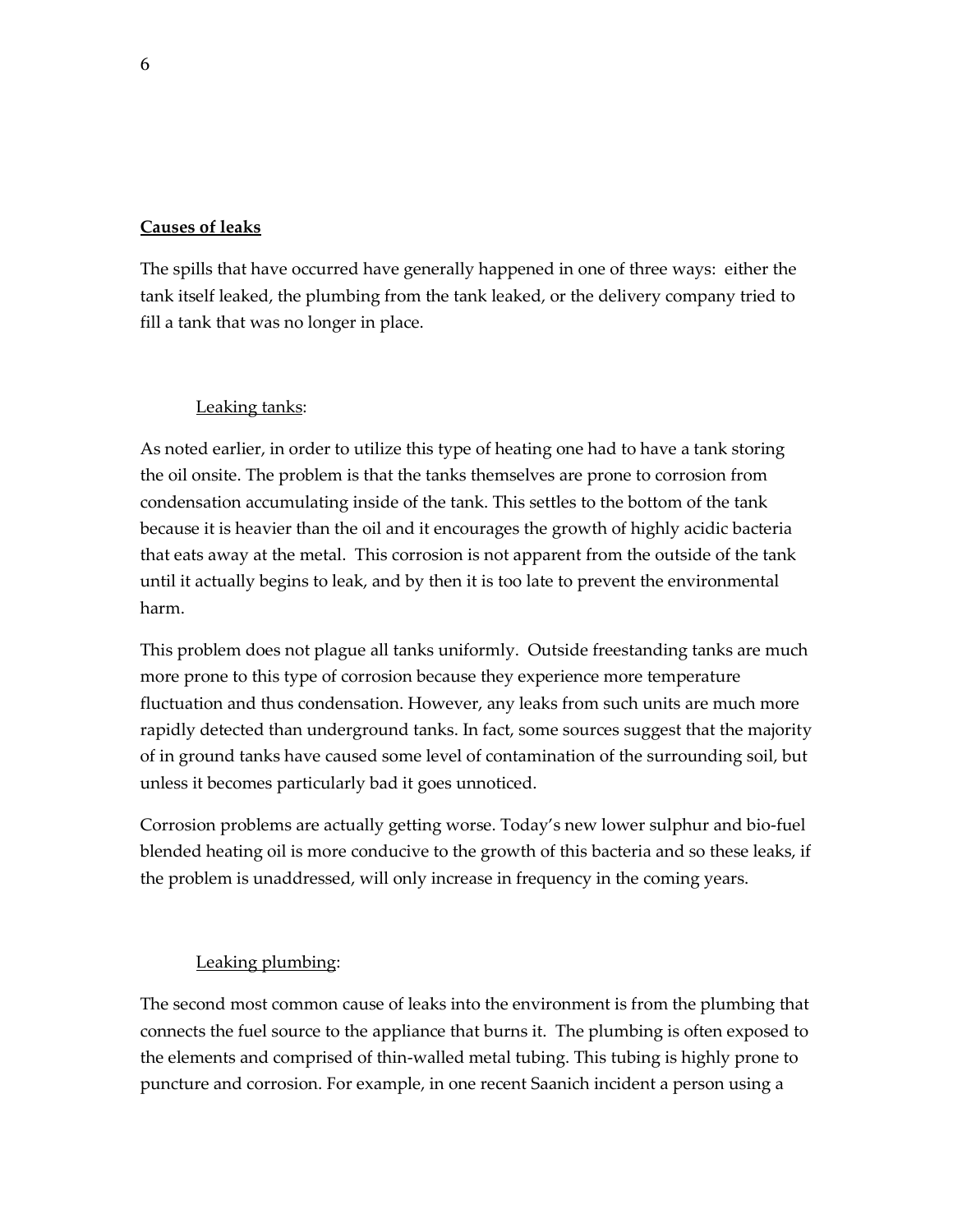#### **Causes of leaks**

The spills that have occurred have generally happened in one of three ways: either the tank itself leaked, the plumbing from the tank leaked, or the delivery company tried to fill a tank that was no longer in place.

#### Leaking tanks:

As noted earlier, in order to utilize this type of heating one had to have a tank storing the oil onsite. The problem is that the tanks themselves are prone to corrosion from condensation accumulating inside of the tank. This settles to the bottom of the tank because it is heavier than the oil and it encourages the growth of highly acidic bacteria that eats away at the metal. This corrosion is not apparent from the outside of the tank until it actually begins to leak, and by then it is too late to prevent the environmental harm.

This problem does not plague all tanks uniformly. Outside freestanding tanks are much more prone to this type of corrosion because they experience more temperature fluctuation and thus condensation. However, any leaks from such units are much more rapidly detected than underground tanks. In fact, some sources suggest that the majority of in ground tanks have caused some level of contamination of the surrounding soil, but unless it becomes particularly bad it goes unnoticed.

Corrosion problems are actually getting worse. Today's new lower sulphur and bio-fuel blended heating oil is more conducive to the growth of this bacteria and so these leaks, if the problem is unaddressed, will only increase in frequency in the coming years.

#### Leaking plumbing:

The second most common cause of leaks into the environment is from the plumbing that connects the fuel source to the appliance that burns it. The plumbing is often exposed to the elements and comprised of thin-walled metal tubing. This tubing is highly prone to puncture and corrosion. For example, in one recent Saanich incident a person using a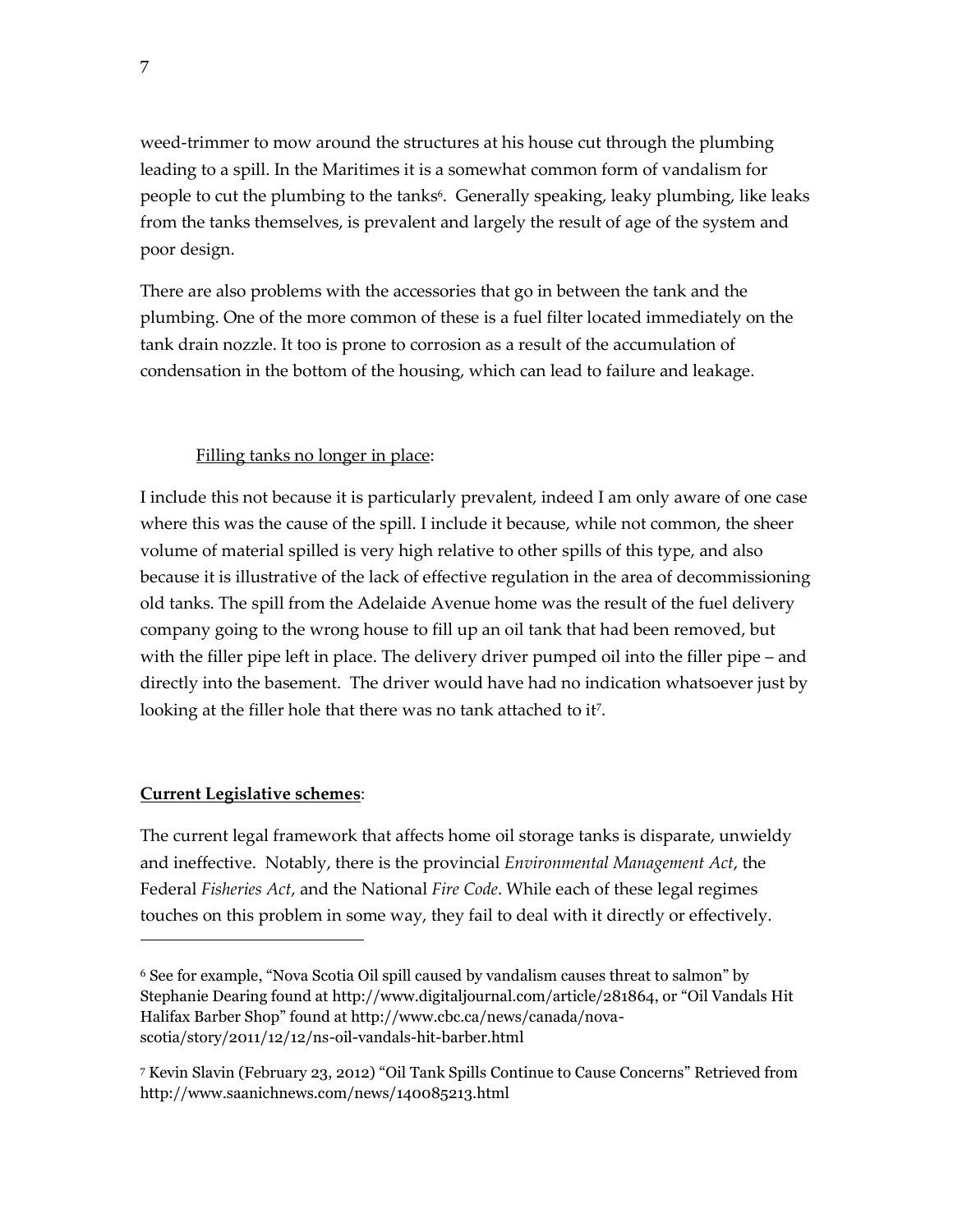weed-trimmer to mow around the structures at his house cut through the plumbing leading to a spill. In the Maritimes it is a somewhat common form of vandalism for people to cut the plumbing to the tanks<sup>6</sup>. Generally speaking, leaky plumbing, like leaks from the tanks themselves, is prevalent and largely the result of age of the system and poor design.

There are also problems with the accessories that go in between the tank and the plumbing. One of the more common of these is a fuel filter located immediately on the tank drain nozzle. It too is prone to corrosion as a result of the accumulation of condensation in the bottom of the housing, which can lead to failure and leakage.

#### Filling tanks no longer in place:

I include this not because it is particularly prevalent, indeed I am only aware of one case where this was the cause of the spill. I include it because, while not common, the sheer volume of material spilled is very high relative to other spills of this type, and also because it is illustrative of the lack of effective regulation in the area of decommissioning old tanks. The spill from the Adelaide Avenue home was the result of the fuel delivery company going to the wrong house to fill up an oil tank that had been removed, but with the filler pipe left in place. The delivery driver pumped oil into the filler pipe – and directly into the basement. The driver would have had no indication whatsoever just by looking at the filler hole that there was no tank attached to it<sup>7</sup> .

#### **Current Legislative schemes**:

 $\overline{a}$ 

The current legal framework that affects home oil storage tanks is disparate, unwieldy and ineffective. Notably, there is the provincial *Environmental Management Act*, the Federal *Fisheries Act*, and the National *Fire Code*. While each of these legal regimes touches on this problem in some way, they fail to deal with it directly or effectively.

<sup>6</sup> See for example, "Nova Scotia Oil spill caused by vandalism causes threat to salmon" by Stephanie Dearing found at http://www.digitaljournal.com/article/281864, or "Oil Vandals Hit Halifax Barber Shop" found at http://www.cbc.ca/news/canada/novascotia/story/2011/12/12/ns-oil-vandals-hit-barber.html

<sup>7</sup> Kevin Slavin (February 23, 2012) "Oil Tank Spills Continue to Cause Concerns" Retrieved from http://www.saanichnews.com/news/140085213.html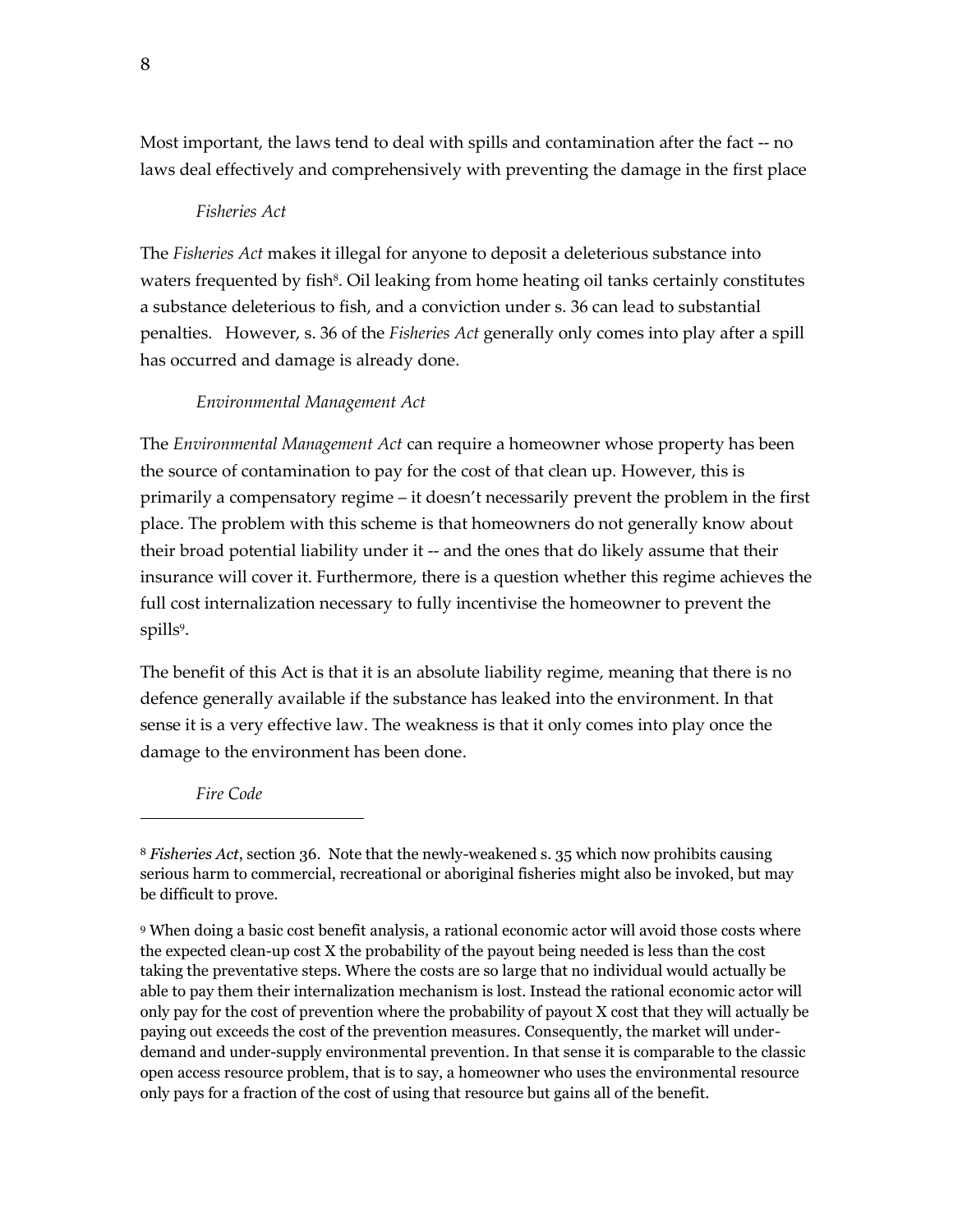Most important, the laws tend to deal with spills and contamination after the fact -- no laws deal effectively and comprehensively with preventing the damage in the first place

#### *Fisheries Act*

The *Fisheries Act* makes it illegal for anyone to deposit a deleterious substance into waters frequented by fish<sup>8</sup>. Oil leaking from home heating oil tanks certainly constitutes a substance deleterious to fish, and a conviction under s. 36 can lead to substantial penalties. However, s. 36 of the *Fisheries Act* generally only comes into play after a spill has occurred and damage is already done.

# *Environmental Management Act*

The *Environmental Management Act* can require a homeowner whose property has been the source of contamination to pay for the cost of that clean up. However, this is primarily a compensatory regime – it doesn't necessarily prevent the problem in the first place. The problem with this scheme is that homeowners do not generally know about their broad potential liability under it -- and the ones that do likely assume that their insurance will cover it. Furthermore, there is a question whether this regime achieves the full cost internalization necessary to fully incentivise the homeowner to prevent the spills<sup>9</sup>.

The benefit of this Act is that it is an absolute liability regime, meaning that there is no defence generally available if the substance has leaked into the environment. In that sense it is a very effective law. The weakness is that it only comes into play once the damage to the environment has been done.

*Fire Code*

<sup>8</sup> *Fisheries Act*, section 36. Note that the newly-weakened s. 35 which now prohibits causing serious harm to commercial, recreational or aboriginal fisheries might also be invoked, but may be difficult to prove.

<sup>9</sup> When doing a basic cost benefit analysis, a rational economic actor will avoid those costs where the expected clean-up cost X the probability of the payout being needed is less than the cost taking the preventative steps. Where the costs are so large that no individual would actually be able to pay them their internalization mechanism is lost. Instead the rational economic actor will only pay for the cost of prevention where the probability of payout X cost that they will actually be paying out exceeds the cost of the prevention measures. Consequently, the market will underdemand and under-supply environmental prevention. In that sense it is comparable to the classic open access resource problem, that is to say, a homeowner who uses the environmental resource only pays for a fraction of the cost of using that resource but gains all of the benefit.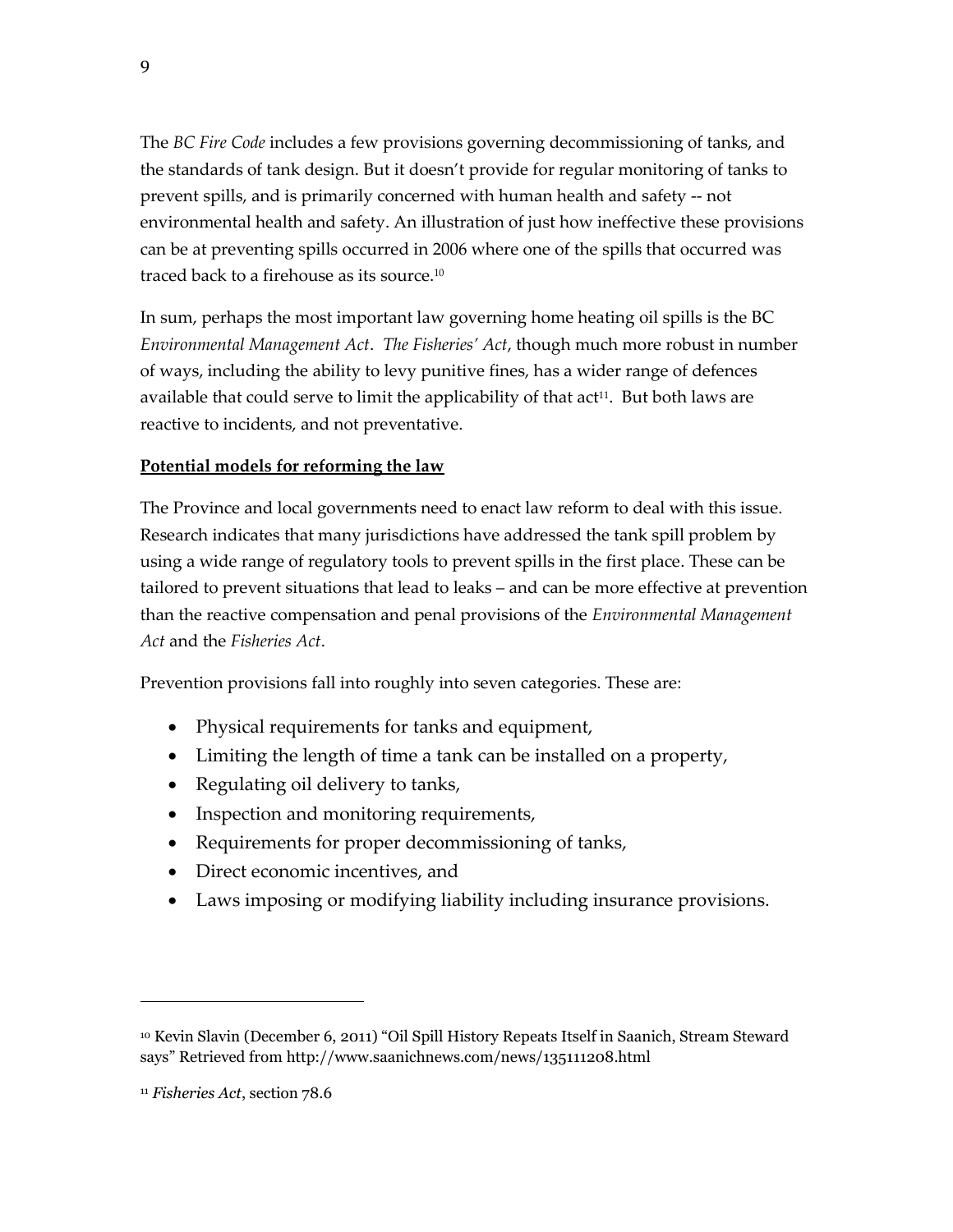The *BC Fire Code* includes a few provisions governing decommissioning of tanks, and the standards of tank design. But it doesn't provide for regular monitoring of tanks to prevent spills, and is primarily concerned with human health and safety -- not environmental health and safety. An illustration of just how ineffective these provisions can be at preventing spills occurred in 2006 where one of the spills that occurred was traced back to a firehouse as its source.<sup>10</sup>

In sum, perhaps the most important law governing home heating oil spills is the BC *Environmental Management Act*. *The Fisheries' Act*, though much more robust in number of ways, including the ability to levy punitive fines, has a wider range of defences available that could serve to limit the applicability of that act<sup>11</sup>. But both laws are reactive to incidents, and not preventative.

# **Potential models for reforming the law**

The Province and local governments need to enact law reform to deal with this issue. Research indicates that many jurisdictions have addressed the tank spill problem by using a wide range of regulatory tools to prevent spills in the first place. These can be tailored to prevent situations that lead to leaks – and can be more effective at prevention than the reactive compensation and penal provisions of the *Environmental Management Act* and the *Fisheries Act*.

Prevention provisions fall into roughly into seven categories. These are:

- Physical requirements for tanks and equipment,
- Limiting the length of time a tank can be installed on a property,
- Regulating oil delivery to tanks,
- Inspection and monitoring requirements,
- Requirements for proper decommissioning of tanks,
- Direct economic incentives, and
- Laws imposing or modifying liability including insurance provisions.

<sup>10</sup> Kevin Slavin (December 6, 2011) "Oil Spill History Repeats Itself in Saanich, Stream Steward says" Retrieved from http://www.saanichnews.com/news/135111208.html

<sup>11</sup> *Fisheries Act*, section 78.6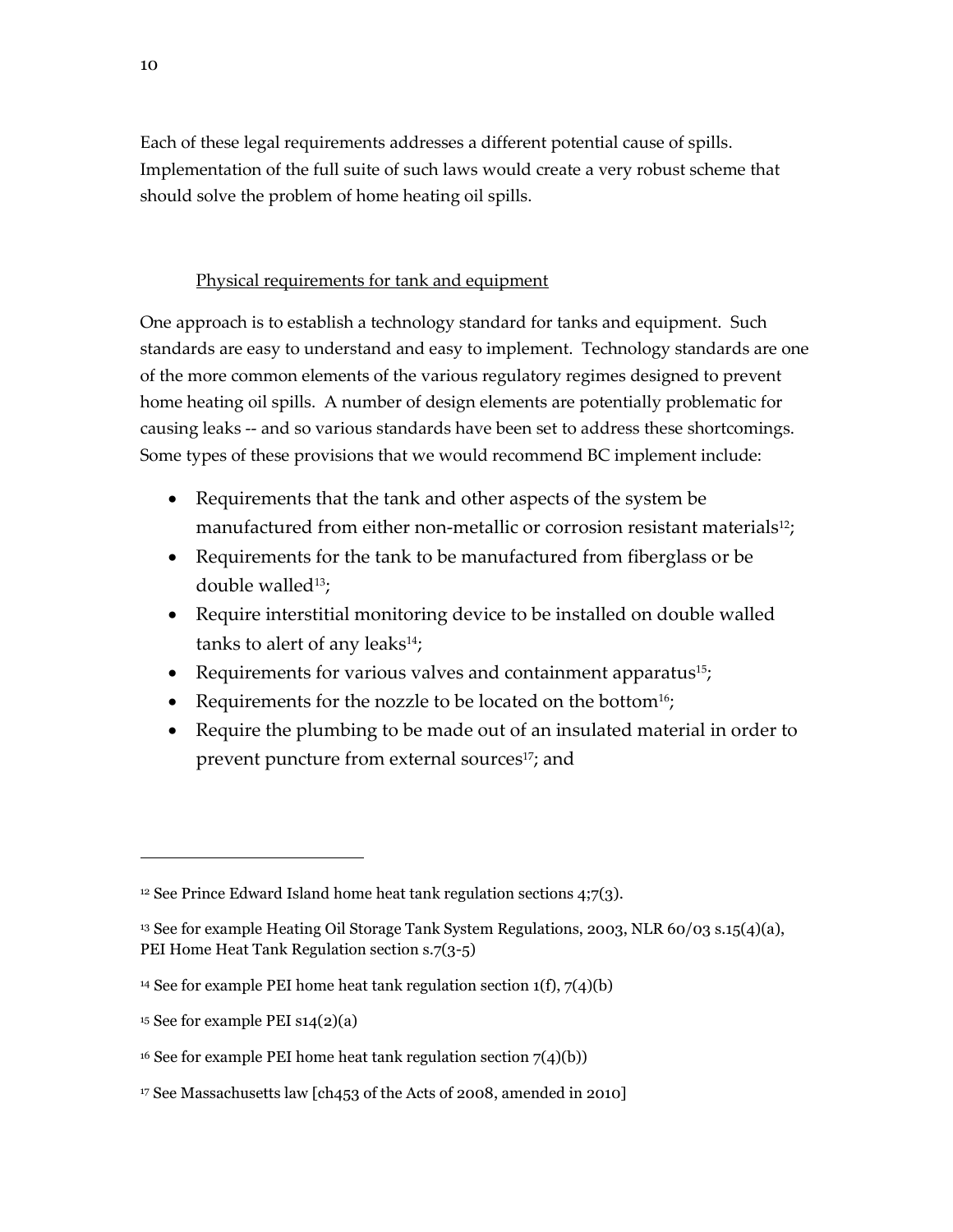Each of these legal requirements addresses a different potential cause of spills. Implementation of the full suite of such laws would create a very robust scheme that should solve the problem of home heating oil spills.

# Physical requirements for tank and equipment

One approach is to establish a technology standard for tanks and equipment. Such standards are easy to understand and easy to implement. Technology standards are one of the more common elements of the various regulatory regimes designed to prevent home heating oil spills. A number of design elements are potentially problematic for causing leaks -- and so various standards have been set to address these shortcomings. Some types of these provisions that we would recommend BC implement include:

- Requirements that the tank and other aspects of the system be manufactured from either non-metallic or corrosion resistant materials<sup>12</sup>;
- Requirements for the tank to be manufactured from fiberglass or be double walled $13$ ;
- Require interstitial monitoring device to be installed on double walled tanks to alert of any leaks $^{14}$ ;
- Requirements for various valves and containment apparatus<sup>15</sup>;
- Requirements for the nozzle to be located on the bottom<sup>16</sup>;
- Require the plumbing to be made out of an insulated material in order to prevent puncture from external sources<sup>17</sup>; and

<sup>&</sup>lt;sup>12</sup> See Prince Edward Island home heat tank regulation sections  $4;7(3)$ .

<sup>13</sup> See for example Heating Oil Storage Tank System Regulations, 2003, NLR 60/03 s.15(4)(a), PEI Home Heat Tank Regulation section s.7(3-5)

<sup>&</sup>lt;sup>14</sup> See for example PEI home heat tank regulation section  $1(f)$ ,  $7(4)(b)$ 

<sup>&</sup>lt;sup>15</sup> See for example PEI  $\text{S14}(2)(a)$ 

<sup>&</sup>lt;sup>16</sup> See for example PEI home heat tank regulation section  $7(4)(b)$ )

<sup>17</sup> See Massachusetts law [ch453 of the Acts of 2008, amended in 2010]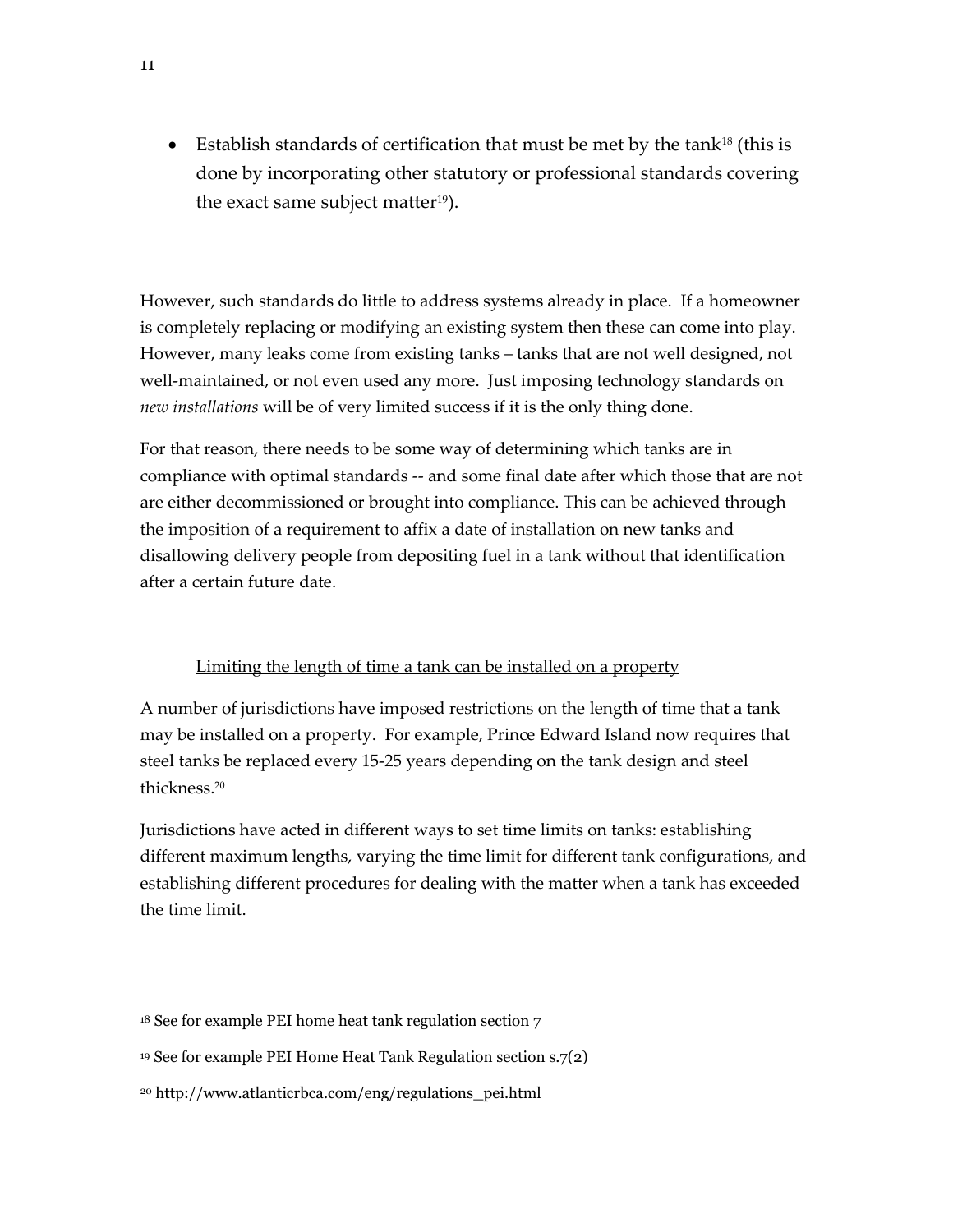Establish standards of certification that must be met by the tank<sup>18</sup> (this is done by incorporating other statutory or professional standards covering the exact same subject matter<sup>19</sup>).

However, such standards do little to address systems already in place. If a homeowner is completely replacing or modifying an existing system then these can come into play. However, many leaks come from existing tanks – tanks that are not well designed, not well-maintained, or not even used any more. Just imposing technology standards on *new installations* will be of very limited success if it is the only thing done.

For that reason, there needs to be some way of determining which tanks are in compliance with optimal standards -- and some final date after which those that are not are either decommissioned or brought into compliance. This can be achieved through the imposition of a requirement to affix a date of installation on new tanks and disallowing delivery people from depositing fuel in a tank without that identification after a certain future date.

# Limiting the length of time a tank can be installed on a property

A number of jurisdictions have imposed restrictions on the length of time that a tank may be installed on a property. For example, Prince Edward Island now requires that steel tanks be replaced every 15-25 years depending on the tank design and steel thickness.<sup>20</sup>

Jurisdictions have acted in different ways to set time limits on tanks: establishing different maximum lengths, varying the time limit for different tank configurations, and establishing different procedures for dealing with the matter when a tank has exceeded the time limit.

<sup>18</sup> See for example PEI home heat tank regulation section 7

<sup>19</sup> See for example PEI Home Heat Tank Regulation section s.7(2)

<sup>20</sup> http://www.atlanticrbca.com/eng/regulations\_pei.html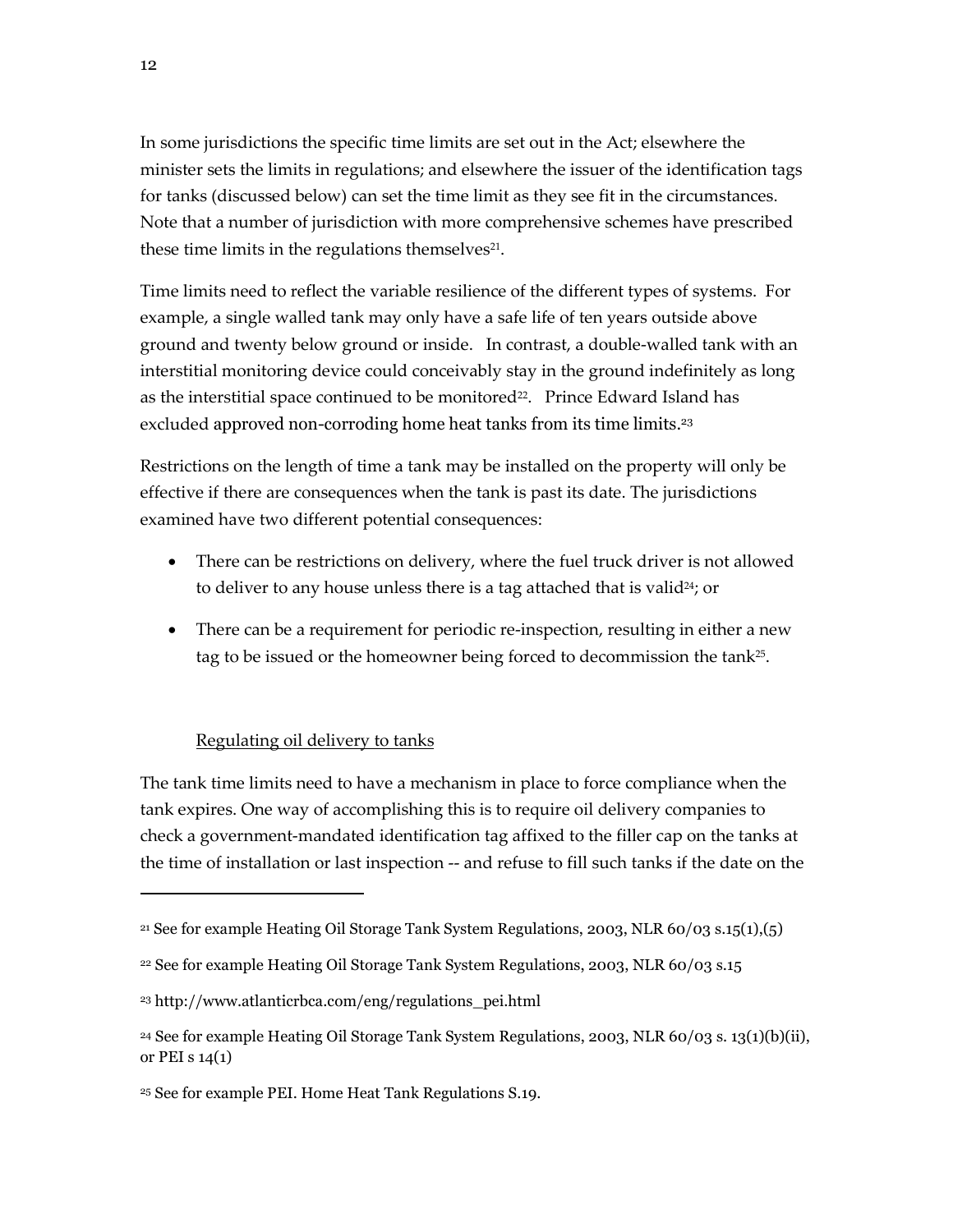In some jurisdictions the specific time limits are set out in the Act; elsewhere the minister sets the limits in regulations; and elsewhere the issuer of the identification tags for tanks (discussed below) can set the time limit as they see fit in the circumstances. Note that a number of jurisdiction with more comprehensive schemes have prescribed these time limits in the regulations themselves $^{21}$ .

Time limits need to reflect the variable resilience of the different types of systems. For example, a single walled tank may only have a safe life of ten years outside above ground and twenty below ground or inside. In contrast, a double-walled tank with an interstitial monitoring device could conceivably stay in the ground indefinitely as long as the interstitial space continued to be monitored<sup>22</sup>. Prince Edward Island has excluded approved non-corroding home heat tanks from its time limits. 23

Restrictions on the length of time a tank may be installed on the property will only be effective if there are consequences when the tank is past its date. The jurisdictions examined have two different potential consequences:

- There can be restrictions on delivery, where the fuel truck driver is not allowed to deliver to any house unless there is a tag attached that is valid<sup>24</sup>; or
- There can be a requirement for periodic re-inspection, resulting in either a new tag to be issued or the homeowner being forced to decommission the tank<sup>25</sup>.

# Regulating oil delivery to tanks

The tank time limits need to have a mechanism in place to force compliance when the tank expires. One way of accomplishing this is to require oil delivery companies to check a government-mandated identification tag affixed to the filler cap on the tanks at the time of installation or last inspection -- and refuse to fill such tanks if the date on the

<sup>&</sup>lt;sup>21</sup> See for example Heating Oil Storage Tank System Regulations, 2003, NLR  $60/03$  s.15(1),(5)

<sup>22</sup> See for example Heating Oil Storage Tank System Regulations, 2003, NLR 60/03 s.15

<sup>23</sup> http://www.atlanticrbca.com/eng/regulations\_pei.html

 $24$  See for example Heating Oil Storage Tank System Regulations, 2003, NLR 60/03 s. 13(1)(b)(ii), or PEI s 14(1)

<sup>25</sup> See for example PEI. Home Heat Tank Regulations S.19.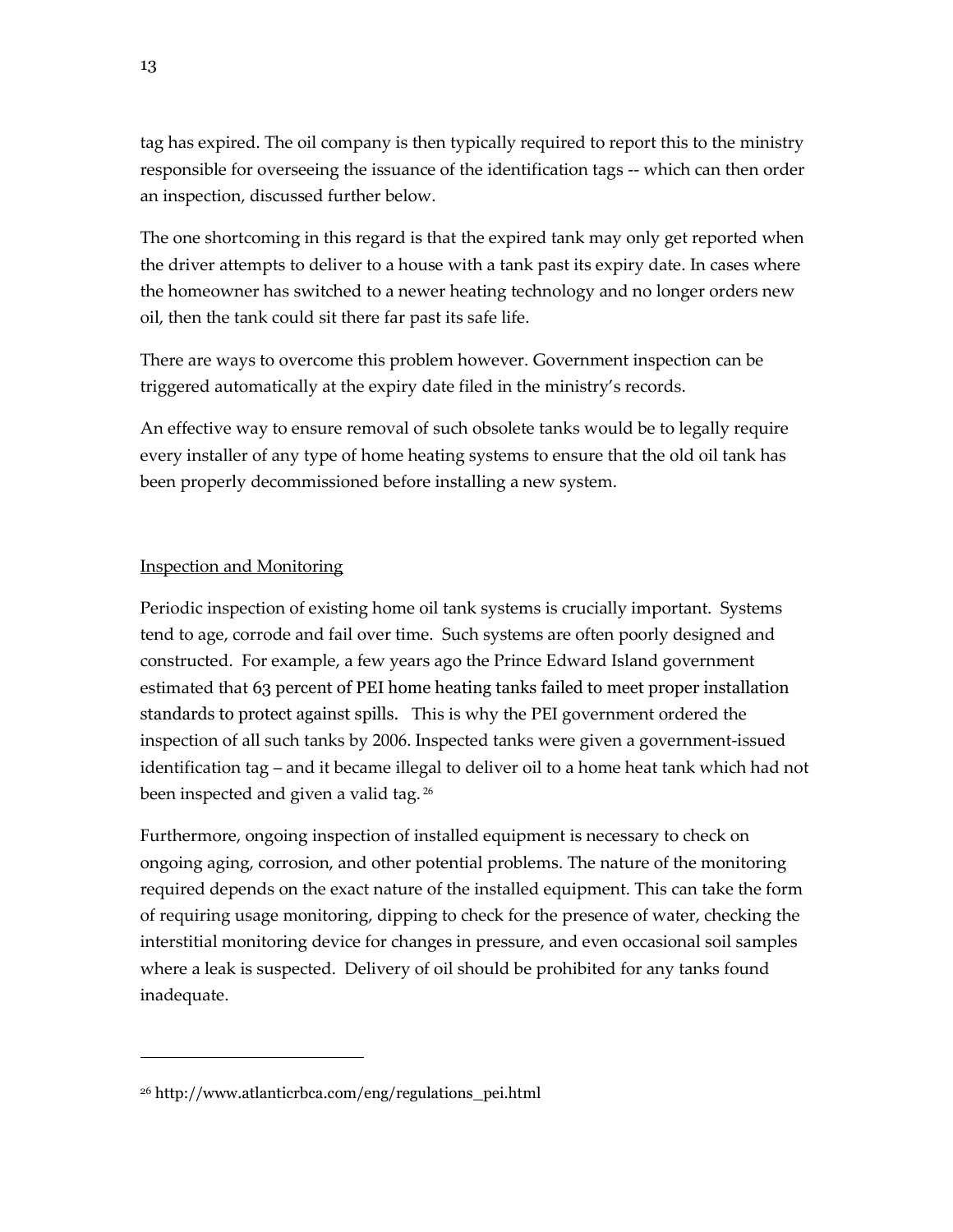tag has expired. The oil company is then typically required to report this to the ministry responsible for overseeing the issuance of the identification tags -- which can then order an inspection, discussed further below.

The one shortcoming in this regard is that the expired tank may only get reported when the driver attempts to deliver to a house with a tank past its expiry date. In cases where the homeowner has switched to a newer heating technology and no longer orders new oil, then the tank could sit there far past its safe life.

There are ways to overcome this problem however. Government inspection can be triggered automatically at the expiry date filed in the ministry's records.

An effective way to ensure removal of such obsolete tanks would be to legally require every installer of any type of home heating systems to ensure that the old oil tank has been properly decommissioned before installing a new system.

# Inspection and Monitoring

 $\overline{a}$ 

Periodic inspection of existing home oil tank systems is crucially important. Systems tend to age, corrode and fail over time. Such systems are often poorly designed and constructed. For example, a few years ago the Prince Edward Island government estimated that 63 percent of PEI home heating tanks failed to meet proper installation standards to protect against spills. This is why the PEI government ordered the inspection of all such tanks by 2006. Inspected tanks were given a government-issued identification tag – and it became illegal to deliver oil to a home heat tank which had not been inspected and given a valid tag.<sup>26</sup>

Furthermore, ongoing inspection of installed equipment is necessary to check on ongoing aging, corrosion, and other potential problems. The nature of the monitoring required depends on the exact nature of the installed equipment. This can take the form of requiring usage monitoring, dipping to check for the presence of water, checking the interstitial monitoring device for changes in pressure, and even occasional soil samples where a leak is suspected. Delivery of oil should be prohibited for any tanks found inadequate.

<sup>26</sup> http://www.atlanticrbca.com/eng/regulations\_pei.html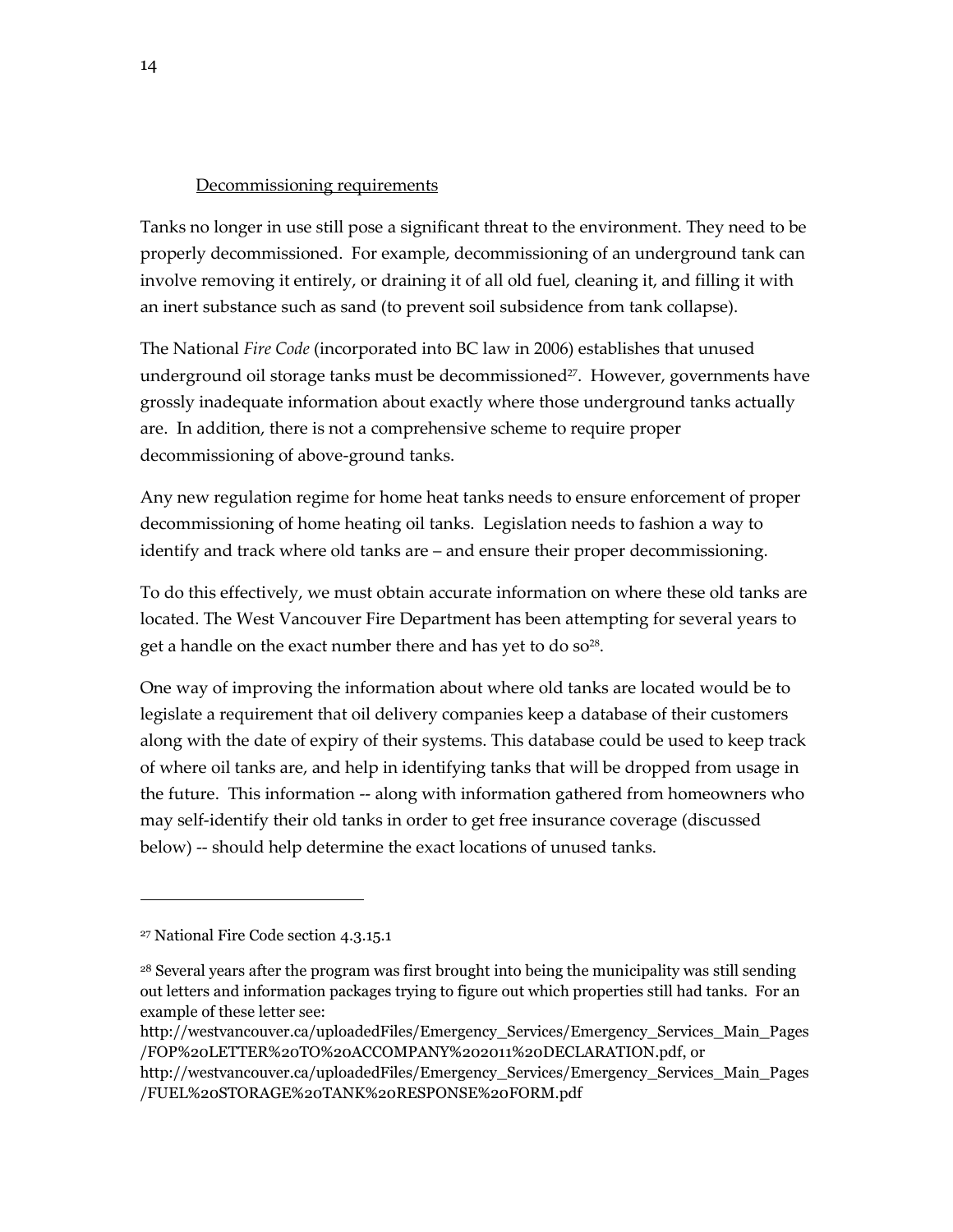#### Decommissioning requirements

Tanks no longer in use still pose a significant threat to the environment. They need to be properly decommissioned. For example, decommissioning of an underground tank can involve removing it entirely, or draining it of all old fuel, cleaning it, and filling it with an inert substance such as sand (to prevent soil subsidence from tank collapse).

The National *Fire Code* (incorporated into BC law in 2006) establishes that unused underground oil storage tanks must be decommissioned<sup>27</sup>. However, governments have grossly inadequate information about exactly where those underground tanks actually are. In addition, there is not a comprehensive scheme to require proper decommissioning of above-ground tanks.

Any new regulation regime for home heat tanks needs to ensure enforcement of proper decommissioning of home heating oil tanks. Legislation needs to fashion a way to identify and track where old tanks are – and ensure their proper decommissioning.

To do this effectively, we must obtain accurate information on where these old tanks are located. The West Vancouver Fire Department has been attempting for several years to get a handle on the exact number there and has yet to do  $so^{28}$ .

One way of improving the information about where old tanks are located would be to legislate a requirement that oil delivery companies keep a database of their customers along with the date of expiry of their systems. This database could be used to keep track of where oil tanks are, and help in identifying tanks that will be dropped from usage in the future. This information -- along with information gathered from homeowners who may self-identify their old tanks in order to get free insurance coverage (discussed below) -- should help determine the exact locations of unused tanks.

<sup>27</sup> National Fire Code section 4.3.15.1

<sup>28</sup> Several years after the program was first brought into being the municipality was still sending out letters and information packages trying to figure out which properties still had tanks. For an example of these letter see:

http://westvancouver.ca/uploadedFiles/Emergency\_Services/Emergency\_Services\_Main\_Pages /FOP%20LETTER%20TO%20ACCOMPANY%202011%20DECLARATION.pdf, or

http://westvancouver.ca/uploadedFiles/Emergency\_Services/Emergency\_Services\_Main\_Pages /FUEL%20STORAGE%20TANK%20RESPONSE%20FORM.pdf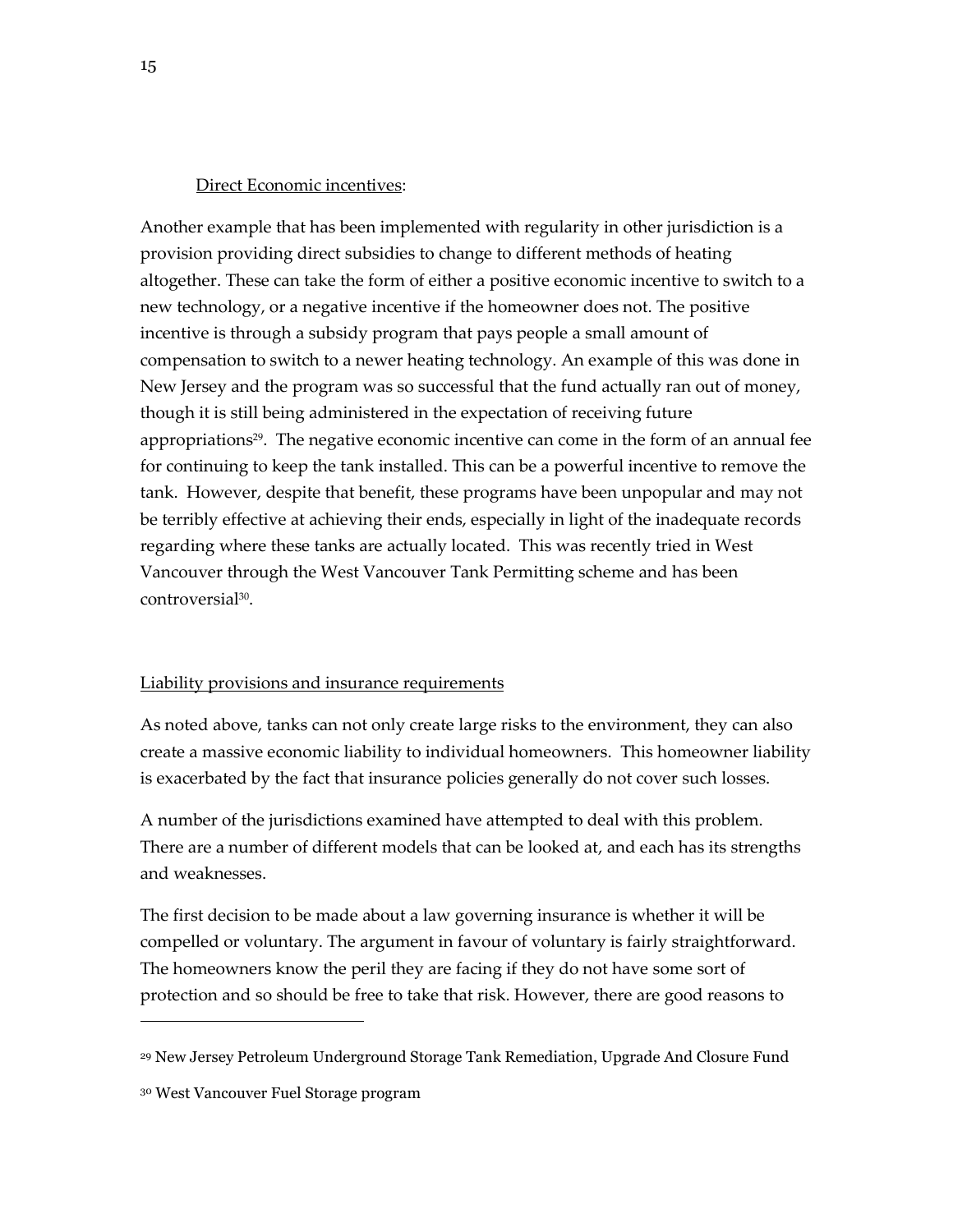#### Direct Economic incentives:

Another example that has been implemented with regularity in other jurisdiction is a provision providing direct subsidies to change to different methods of heating altogether. These can take the form of either a positive economic incentive to switch to a new technology, or a negative incentive if the homeowner does not. The positive incentive is through a subsidy program that pays people a small amount of compensation to switch to a newer heating technology. An example of this was done in New Jersey and the program was so successful that the fund actually ran out of money, though it is still being administered in the expectation of receiving future appropriations<sup>29</sup>. The negative economic incentive can come in the form of an annual fee for continuing to keep the tank installed. This can be a powerful incentive to remove the tank. However, despite that benefit, these programs have been unpopular and may not be terribly effective at achieving their ends, especially in light of the inadequate records regarding where these tanks are actually located. This was recently tried in West Vancouver through the West Vancouver Tank Permitting scheme and has been controversial<sup>30</sup> .

#### Liability provisions and insurance requirements

As noted above, tanks can not only create large risks to the environment, they can also create a massive economic liability to individual homeowners. This homeowner liability is exacerbated by the fact that insurance policies generally do not cover such losses.

A number of the jurisdictions examined have attempted to deal with this problem. There are a number of different models that can be looked at, and each has its strengths and weaknesses.

The first decision to be made about a law governing insurance is whether it will be compelled or voluntary. The argument in favour of voluntary is fairly straightforward. The homeowners know the peril they are facing if they do not have some sort of protection and so should be free to take that risk. However, there are good reasons to

<sup>29</sup> New Jersey Petroleum Underground Storage Tank Remediation, Upgrade And Closure Fund

<sup>30</sup> West Vancouver Fuel Storage program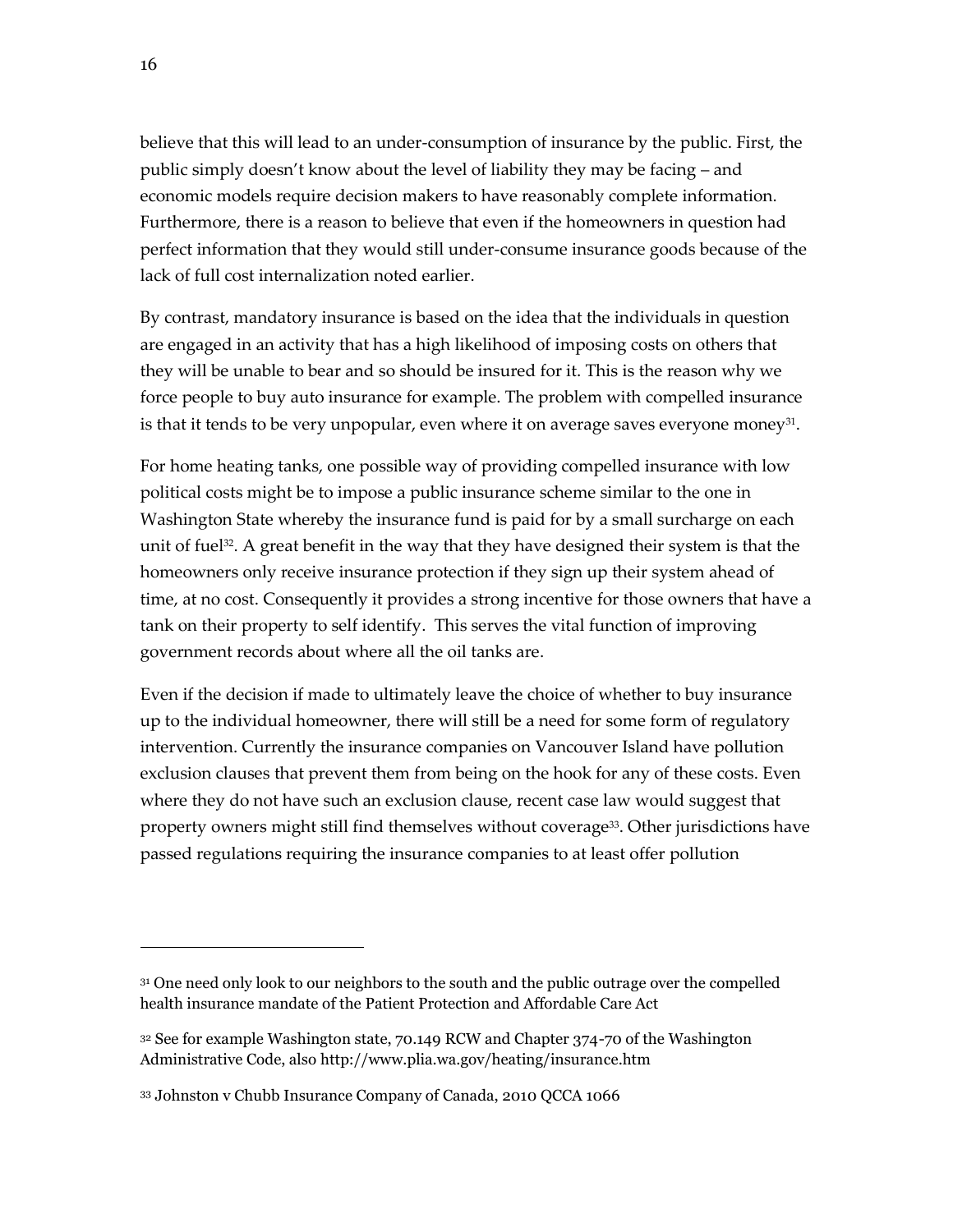believe that this will lead to an under-consumption of insurance by the public. First, the public simply doesn't know about the level of liability they may be facing – and economic models require decision makers to have reasonably complete information. Furthermore, there is a reason to believe that even if the homeowners in question had perfect information that they would still under-consume insurance goods because of the lack of full cost internalization noted earlier.

By contrast, mandatory insurance is based on the idea that the individuals in question are engaged in an activity that has a high likelihood of imposing costs on others that they will be unable to bear and so should be insured for it. This is the reason why we force people to buy auto insurance for example. The problem with compelled insurance is that it tends to be very unpopular, even where it on average saves everyone money $^{31}$ .

For home heating tanks, one possible way of providing compelled insurance with low political costs might be to impose a public insurance scheme similar to the one in Washington State whereby the insurance fund is paid for by a small surcharge on each unit of fuel<sup>32</sup>. A great benefit in the way that they have designed their system is that the homeowners only receive insurance protection if they sign up their system ahead of time, at no cost. Consequently it provides a strong incentive for those owners that have a tank on their property to self identify. This serves the vital function of improving government records about where all the oil tanks are.

Even if the decision if made to ultimately leave the choice of whether to buy insurance up to the individual homeowner, there will still be a need for some form of regulatory intervention. Currently the insurance companies on Vancouver Island have pollution exclusion clauses that prevent them from being on the hook for any of these costs. Even where they do not have such an exclusion clause, recent case law would suggest that property owners might still find themselves without coverage<sup>33</sup>. Other jurisdictions have passed regulations requiring the insurance companies to at least offer pollution

<sup>&</sup>lt;sup>31</sup> One need only look to our neighbors to the south and the public outrage over the compelled health insurance mandate of the Patient Protection and Affordable Care Act

<sup>32</sup> See for example Washington state, 70.149 RCW and Chapter 374-70 of the Washington Administrative Code, also http://www.plia.wa.gov/heating/insurance.htm

<sup>33</sup> Johnston v Chubb Insurance Company of Canada, 2010 QCCA 1066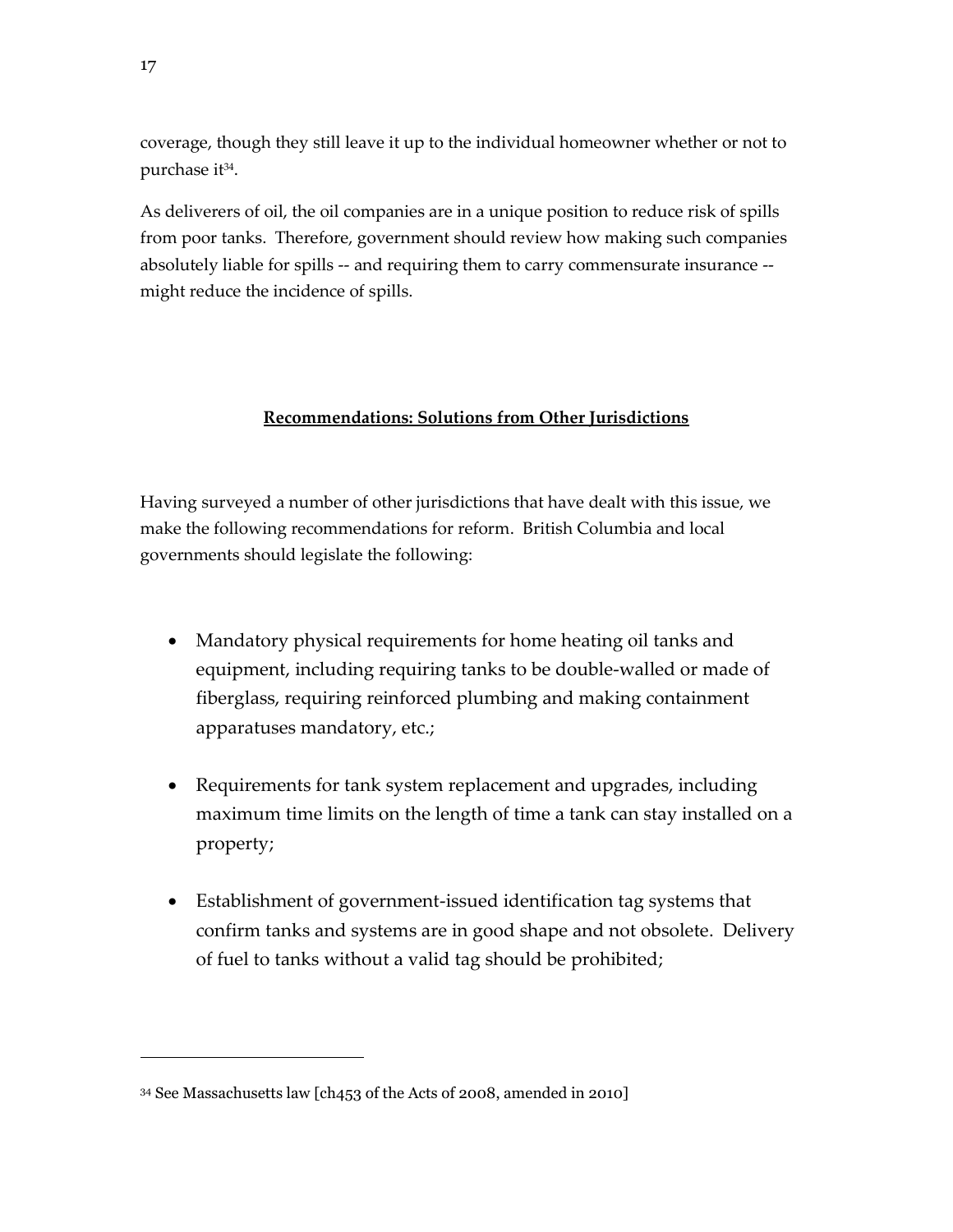coverage, though they still leave it up to the individual homeowner whether or not to purchase it<sup>34</sup>.

As deliverers of oil, the oil companies are in a unique position to reduce risk of spills from poor tanks. Therefore, government should review how making such companies absolutely liable for spills -- and requiring them to carry commensurate insurance - might reduce the incidence of spills.

# **Recommendations: Solutions from Other Jurisdictions**

Having surveyed a number of other jurisdictions that have dealt with this issue, we make the following recommendations for reform. British Columbia and local governments should legislate the following:

- Mandatory physical requirements for home heating oil tanks and equipment, including requiring tanks to be double-walled or made of fiberglass, requiring reinforced plumbing and making containment apparatuses mandatory, etc.;
- Requirements for tank system replacement and upgrades, including maximum time limits on the length of time a tank can stay installed on a property;
- Establishment of government-issued identification tag systems that confirm tanks and systems are in good shape and not obsolete. Delivery of fuel to tanks without a valid tag should be prohibited;

<sup>34</sup> See Massachusetts law [ch453 of the Acts of 2008, amended in 2010]